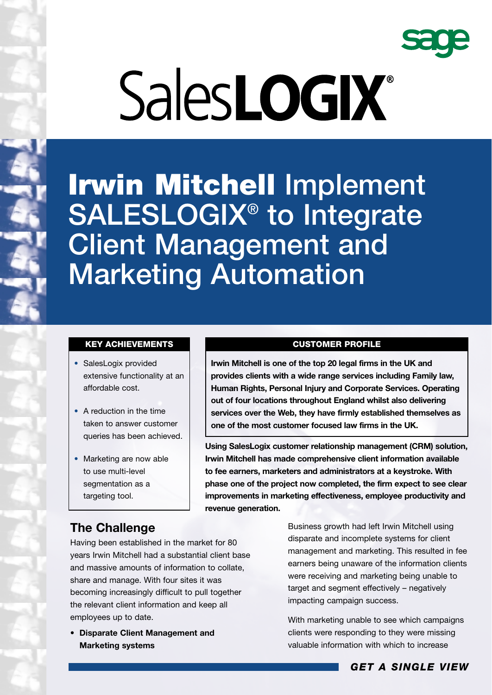

# SalesLOGIX®

**Irwin Mitchell Implement SALESLOGIX® to Integrate Client Management and Marketing Automation**

### **KEY ACHIEVEMENTS**

- SalesLogix provided extensive functionality at an affordable cost.
- A reduction in the time taken to answer customer queries has been achieved.
- Marketing are now able to use multi-level segmentation as a targeting tool.

## **CUSTOMER PROFILE**

**Irwin Mitchell is one of the top 20 legal firms in the UK and provides clients with a wide range services including Family law, Human Rights, Personal Injury and Corporate Services. Operating out of four locations throughout England whilst also delivering services over the Web, they have firmly established themselves as one of the most customer focused law firms in the UK.**

**Using SalesLogix customer relationship management (CRM) solution, Irwin Mitchell has made comprehensive client information available to fee earners, marketers and administrators at a keystroke. With phase one of the project now completed, the firm expect to see clear improvements in marketing effectiveness, employee productivity and revenue generation.**

# **The Challenge**

Having been established in the market for 80 years Irwin Mitchell had a substantial client base and massive amounts of information to collate, share and manage. With four sites it was becoming increasingly difficult to pull together the relevant client information and keep all employees up to date.

• **Disparate Client Management and Marketing systems**

Business growth had left Irwin Mitchell using disparate and incomplete systems for client management and marketing. This resulted in fee earners being unaware of the information clients were receiving and marketing being unable to target and segment effectively – negatively impacting campaign success.

With marketing unable to see which campaigns clients were responding to they were missing valuable information with which to increase